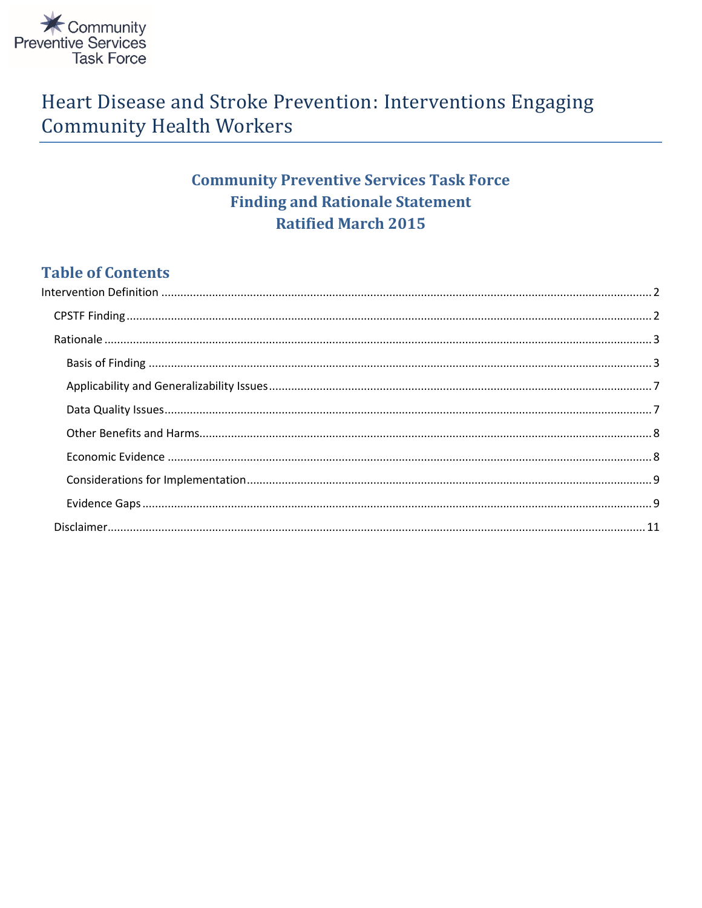

# Heart Disease and Stroke Prevention: Interventions Engaging **Community Health Workers**

## **Community Preventive Services Task Force Finding and Rationale Statement Ratified March 2015**

## **Table of Contents**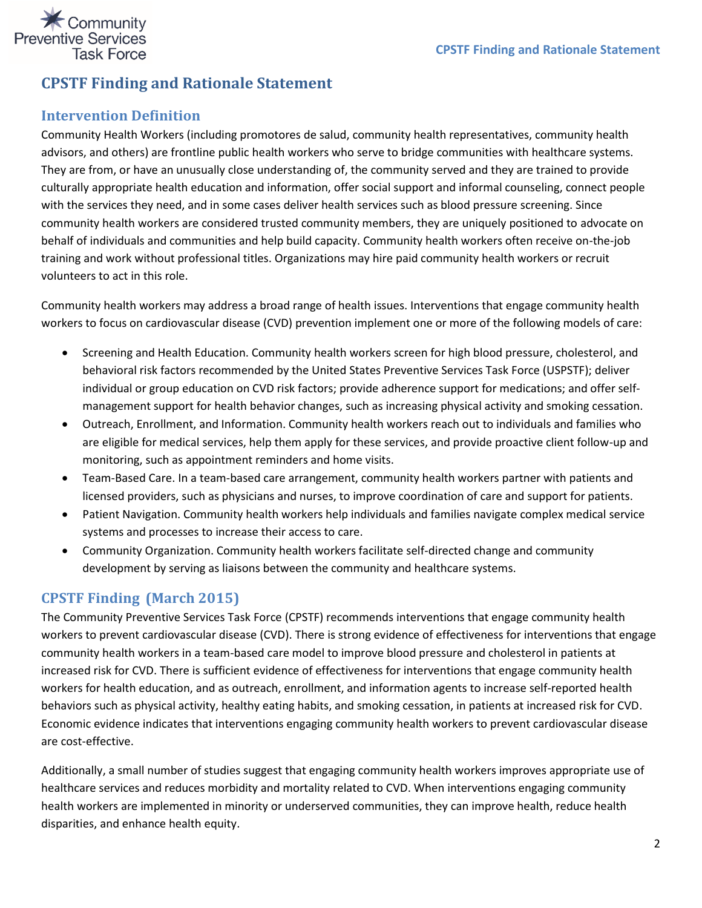

## **CPSTF Finding and Rationale Statement**

## <span id="page-1-0"></span>**Intervention Definition**

Community Health Workers (including promotores de salud, community health representatives, community health advisors, and others) are frontline public health workers who serve to bridge communities with healthcare systems. They are from, or have an unusually close understanding of, the community served and they are trained to provide culturally appropriate health education and information, offer social support and informal counseling, connect people with the services they need, and in some cases deliver health services such as blood pressure screening. Since community health workers are considered trusted community members, they are uniquely positioned to advocate on behalf of individuals and communities and help build capacity. Community health workers often receive on-the-job training and work without professional titles. Organizations may hire paid community health workers or recruit volunteers to act in this role.

Community health workers may address a broad range of health issues. Interventions that engage community health workers to focus on cardiovascular disease (CVD) prevention implement one or more of the following models of care:

- Screening and Health Education. Community health workers screen for high blood pressure, cholesterol, and behavioral risk factors recommended by the United States Preventive Services Task Force (USPSTF); deliver individual or group education on CVD risk factors; provide adherence support for medications; and offer selfmanagement support for health behavior changes, such as increasing physical activity and smoking cessation.
- Outreach, Enrollment, and Information. Community health workers reach out to individuals and families who are eligible for medical services, help them apply for these services, and provide proactive client follow-up and monitoring, such as appointment reminders and home visits.
- Team-Based Care. In a team-based care arrangement, community health workers partner with patients and licensed providers, such as physicians and nurses, to improve coordination of care and support for patients.
- Patient Navigation. Community health workers help individuals and families navigate complex medical service systems and processes to increase their access to care.
- Community Organization. Community health workers facilitate self-directed change and community development by serving as liaisons between the community and healthcare systems.

## <span id="page-1-1"></span>**CPSTF Finding (March 2015)**

The Community Preventive Services Task Force (CPSTF) recommends interventions that engage community health workers to prevent cardiovascular disease (CVD). There is strong evidence of effectiveness for interventions that engage community health workers in a team-based care model to improve blood pressure and cholesterol in patients at increased risk for CVD. There is sufficient evidence of effectiveness for interventions that engage community health workers for health education, and as outreach, enrollment, and information agents to increase self-reported health behaviors such as physical activity, healthy eating habits, and smoking cessation, in patients at increased risk for CVD. Economic evidence indicates that interventions engaging community health workers to prevent cardiovascular disease are cost-effective.

Additionally, a small number of studies suggest that engaging community health workers improves appropriate use of healthcare services and reduces morbidity and mortality related to CVD. When interventions engaging community health workers are implemented in minority or underserved communities, they can improve health, reduce health disparities, and enhance health equity.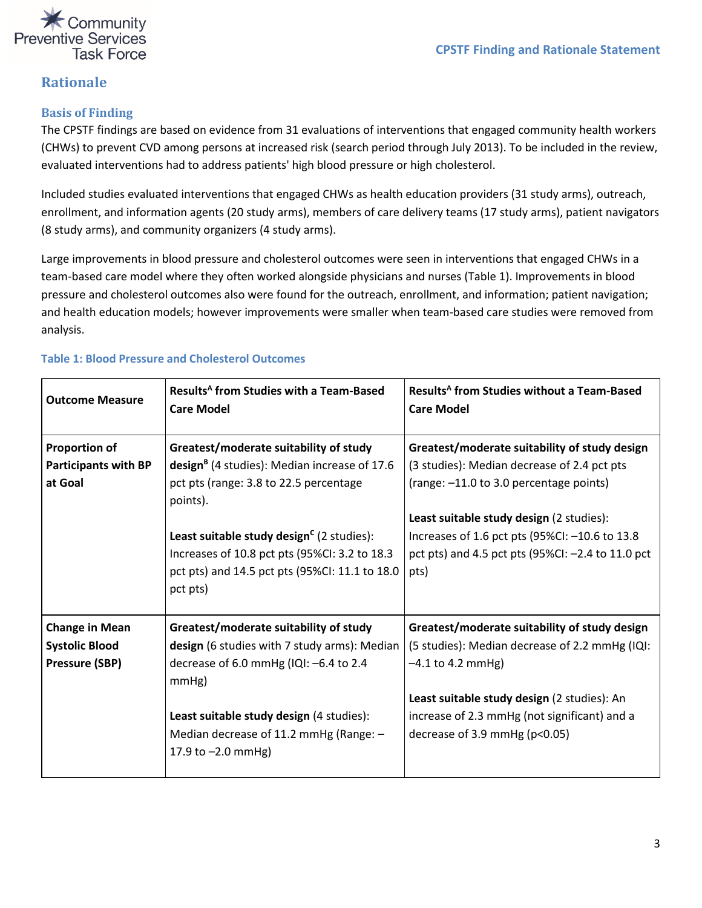

### <span id="page-2-0"></span>**Rationale**

#### <span id="page-2-1"></span>**Basis of Finding**

The CPSTF findings are based on evidence from 31 evaluations of interventions that engaged community health workers (CHWs) to prevent CVD among persons at increased risk (search period through July 2013). To be included in the review, evaluated interventions had to address patients' high blood pressure or high cholesterol.

Included studies evaluated interventions that engaged CHWs as health education providers (31 study arms), outreach, enrollment, and information agents (20 study arms), members of care delivery teams (17 study arms), patient navigators (8 study arms), and community organizers (4 study arms).

Large improvements in blood pressure and cholesterol outcomes were seen in interventions that engaged CHWs in a team-based care model where they often worked alongside physicians and nurses (Table 1). Improvements in blood pressure and cholesterol outcomes also were found for the outreach, enrollment, and information; patient navigation; and health education models; however improvements were smaller when team-based care studies were removed from analysis.

| <b>Outcome Measure</b>      | Results <sup>A</sup> from Studies with a Team-Based<br><b>Care Model</b> | Results <sup>A</sup> from Studies without a Team-Based<br><b>Care Model</b> |
|-----------------------------|--------------------------------------------------------------------------|-----------------------------------------------------------------------------|
| <b>Proportion of</b>        | Greatest/moderate suitability of study                                   | Greatest/moderate suitability of study design                               |
| <b>Participants with BP</b> | design <sup>B</sup> (4 studies): Median increase of 17.6                 | (3 studies): Median decrease of 2.4 pct pts                                 |
| at Goal                     | pct pts (range: 3.8 to 22.5 percentage<br>points).                       | (range: -11.0 to 3.0 percentage points)                                     |
|                             |                                                                          | Least suitable study design (2 studies):                                    |
|                             | Least suitable study design <sup>c</sup> (2 studies):                    | Increases of 1.6 pct pts (95%CI: -10.6 to 13.8                              |
|                             | Increases of 10.8 pct pts (95%CI: 3.2 to 18.3                            | pct pts) and 4.5 pct pts (95%CI: -2.4 to 11.0 pct                           |
|                             | pct pts) and 14.5 pct pts (95%CI: 11.1 to 18.0                           | pts)                                                                        |
|                             | pct pts)                                                                 |                                                                             |
| <b>Change in Mean</b>       | Greatest/moderate suitability of study                                   | Greatest/moderate suitability of study design                               |
| <b>Systolic Blood</b>       | design (6 studies with 7 study arms): Median                             | (5 studies): Median decrease of 2.2 mmHg (IQI:                              |
| Pressure (SBP)              | decrease of 6.0 mmHg (IQI: -6.4 to 2.4                                   | $-4.1$ to 4.2 mmHg)                                                         |
|                             | mmHg)                                                                    |                                                                             |
|                             |                                                                          | Least suitable study design (2 studies): An                                 |
|                             | Least suitable study design (4 studies):                                 | increase of 2.3 mmHg (not significant) and a                                |
|                             | Median decrease of 11.2 mmHg (Range: $-$                                 | decrease of 3.9 mmHg ( $p<0.05$ )                                           |
|                             | 17.9 to $-2.0$ mmHg)                                                     |                                                                             |
|                             |                                                                          |                                                                             |

#### **Table 1: Blood Pressure and Cholesterol Outcomes**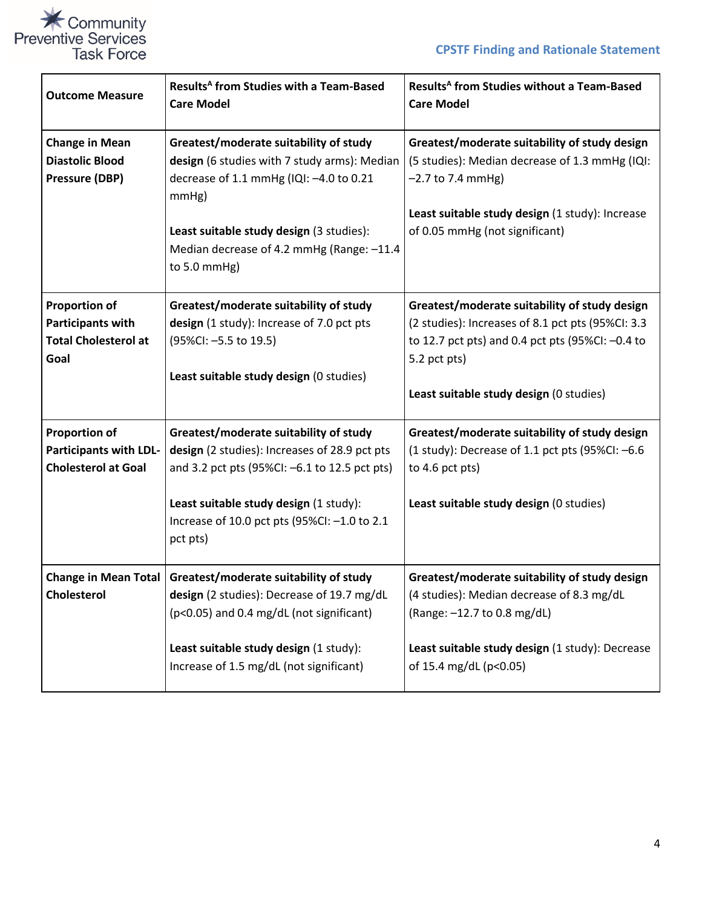

| <b>Outcome Measure</b>                                                                  | Results <sup>A</sup> from Studies with a Team-Based<br><b>Care Model</b>                                                                                                                                                                            | Results <sup>A</sup> from Studies without a Team-Based<br><b>Care Model</b>                                                                                                                                       |
|-----------------------------------------------------------------------------------------|-----------------------------------------------------------------------------------------------------------------------------------------------------------------------------------------------------------------------------------------------------|-------------------------------------------------------------------------------------------------------------------------------------------------------------------------------------------------------------------|
| <b>Change in Mean</b><br><b>Diastolic Blood</b><br><b>Pressure (DBP)</b>                | Greatest/moderate suitability of study<br>design (6 studies with 7 study arms): Median<br>decrease of 1.1 mmHg (IQI: -4.0 to 0.21<br>mmHg)<br>Least suitable study design (3 studies):<br>Median decrease of 4.2 mmHg (Range: -11.4<br>to 5.0 mmHg) | Greatest/moderate suitability of study design<br>(5 studies): Median decrease of 1.3 mmHg (IQI:<br>$-2.7$ to 7.4 mmHg)<br>Least suitable study design (1 study): Increase<br>of 0.05 mmHg (not significant)       |
| <b>Proportion of</b><br><b>Participants with</b><br><b>Total Cholesterol at</b><br>Goal | Greatest/moderate suitability of study<br>design (1 study): Increase of 7.0 pct pts<br>(95%Cl: -5.5 to 19.5)<br>Least suitable study design (0 studies)                                                                                             | Greatest/moderate suitability of study design<br>(2 studies): Increases of 8.1 pct pts (95%CI: 3.3<br>to 12.7 pct pts) and 0.4 pct pts (95%CI: -0.4 to<br>5.2 pct pts)<br>Least suitable study design (0 studies) |
| <b>Proportion of</b><br><b>Participants with LDL-</b><br><b>Cholesterol at Goal</b>     | Greatest/moderate suitability of study<br>design (2 studies): Increases of 28.9 pct pts<br>and 3.2 pct pts (95%CI: -6.1 to 12.5 pct pts)<br>Least suitable study design (1 study):<br>Increase of 10.0 pct pts (95%CI: -1.0 to 2.1<br>pct pts)      | Greatest/moderate suitability of study design<br>(1 study): Decrease of 1.1 pct pts (95%CI: $-6.6$ )<br>to 4.6 pct pts)<br>Least suitable study design (0 studies)                                                |
| <b>Cholesterol</b>                                                                      | Change in Mean Total   Greatest/moderate suitability of study<br>design (2 studies): Decrease of 19.7 mg/dL<br>(p<0.05) and 0.4 mg/dL (not significant)<br>Least suitable study design (1 study):<br>Increase of 1.5 mg/dL (not significant)        | Greatest/moderate suitability of study design<br>(4 studies): Median decrease of 8.3 mg/dL<br>(Range: -12.7 to 0.8 mg/dL)<br>Least suitable study design (1 study): Decrease<br>of 15.4 mg/dL (p<0.05)            |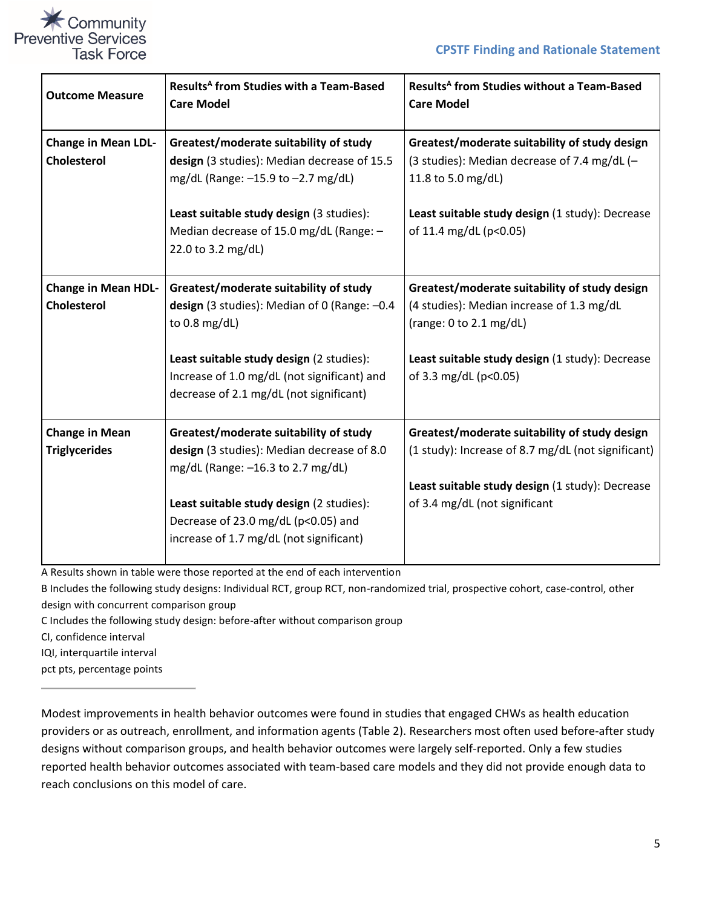

| <b>Outcome Measure</b>                           | Results <sup>A</sup> from Studies with a Team-Based<br><b>Care Model</b>                                                                                                                                                                                | Results <sup>A</sup> from Studies without a Team-Based<br><b>Care Model</b>                                                                                                                       |
|--------------------------------------------------|---------------------------------------------------------------------------------------------------------------------------------------------------------------------------------------------------------------------------------------------------------|---------------------------------------------------------------------------------------------------------------------------------------------------------------------------------------------------|
| <b>Change in Mean LDL-</b><br><b>Cholesterol</b> | Greatest/moderate suitability of study<br>design (3 studies): Median decrease of 15.5<br>mg/dL (Range: -15.9 to -2.7 mg/dL)<br>Least suitable study design (3 studies):<br>Median decrease of 15.0 mg/dL (Range: -<br>22.0 to 3.2 mg/dL)                | Greatest/moderate suitability of study design<br>(3 studies): Median decrease of 7.4 mg/dL (-<br>11.8 to 5.0 mg/dL)<br>Least suitable study design (1 study): Decrease<br>of 11.4 mg/dL (p<0.05)  |
| <b>Change in Mean HDL-</b><br>Cholesterol        | Greatest/moderate suitability of study<br>design (3 studies): Median of 0 (Range: -0.4<br>to $0.8 \text{ mg/dL}$<br>Least suitable study design (2 studies):<br>Increase of 1.0 mg/dL (not significant) and<br>decrease of 2.1 mg/dL (not significant)  | Greatest/moderate suitability of study design<br>(4 studies): Median increase of 1.3 mg/dL<br>(range: 0 to 2.1 mg/dL)<br>Least suitable study design (1 study): Decrease<br>of 3.3 mg/dL (p<0.05) |
| <b>Change in Mean</b><br><b>Triglycerides</b>    | Greatest/moderate suitability of study<br>design (3 studies): Median decrease of 8.0<br>mg/dL (Range: -16.3 to 2.7 mg/dL)<br>Least suitable study design (2 studies):<br>Decrease of 23.0 mg/dL (p<0.05) and<br>increase of 1.7 mg/dL (not significant) | Greatest/moderate suitability of study design<br>(1 study): Increase of 8.7 mg/dL (not significant)<br>Least suitable study design (1 study): Decrease<br>of 3.4 mg/dL (not significant           |

A Results shown in table were those reported at the end of each intervention

B Includes the following study designs: Individual RCT, group RCT, non-randomized trial, prospective cohort, case-control, other design with concurrent comparison group

C Includes the following study design: before-after without comparison group

CI, confidence interval

IQI, interquartile interval

pct pts, percentage points

Modest improvements in health behavior outcomes were found in studies that engaged CHWs as health education providers or as outreach, enrollment, and information agents (Table 2). Researchers most often used before-after study designs without comparison groups, and health behavior outcomes were largely self-reported. Only a few studies reported health behavior outcomes associated with team-based care models and they did not provide enough data to reach conclusions on this model of care.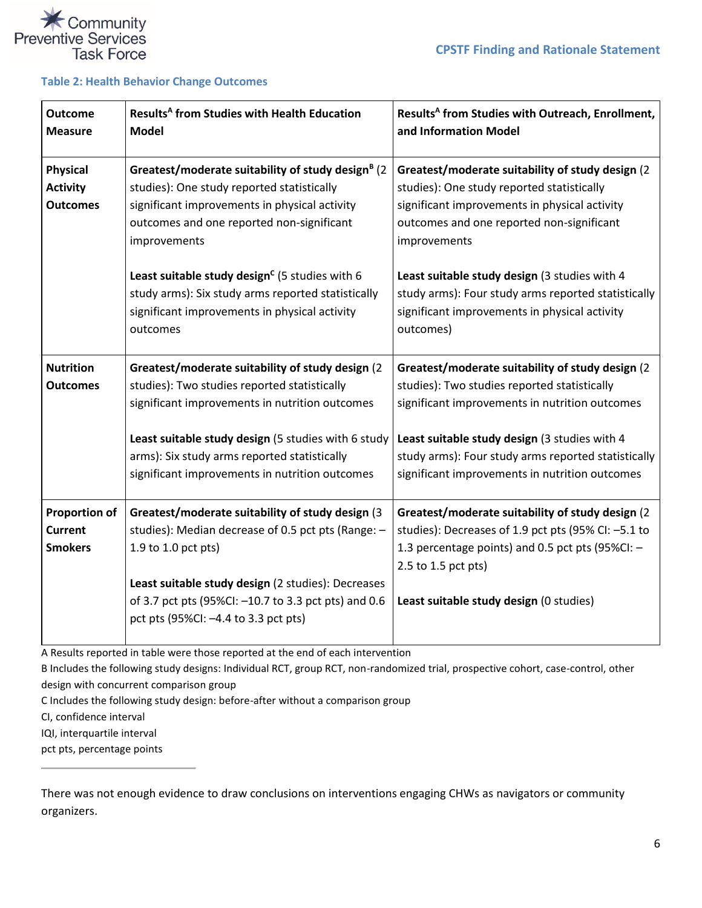



j.

#### **Table 2: Health Behavior Change Outcomes**

| <b>Outcome</b><br><b>Measure</b>                         | Results <sup>A</sup> from Studies with Health Education<br><b>Model</b>                                                                                                                                                                                                                 | Results <sup>A</sup> from Studies with Outreach, Enrollment,<br>and Information Model                                                                                                                                                                          |
|----------------------------------------------------------|-----------------------------------------------------------------------------------------------------------------------------------------------------------------------------------------------------------------------------------------------------------------------------------------|----------------------------------------------------------------------------------------------------------------------------------------------------------------------------------------------------------------------------------------------------------------|
| <b>Physical</b><br><b>Activity</b><br><b>Outcomes</b>    | Greatest/moderate suitability of study design <sup>B</sup> (2<br>studies): One study reported statistically<br>significant improvements in physical activity<br>outcomes and one reported non-significant<br>improvements<br>Least suitable study design <sup>c</sup> (5 studies with 6 | Greatest/moderate suitability of study design (2)<br>studies): One study reported statistically<br>significant improvements in physical activity<br>outcomes and one reported non-significant<br>improvements<br>Least suitable study design (3 studies with 4 |
|                                                          | study arms): Six study arms reported statistically<br>significant improvements in physical activity<br>outcomes                                                                                                                                                                         | study arms): Four study arms reported statistically<br>significant improvements in physical activity<br>outcomes)                                                                                                                                              |
| <b>Nutrition</b><br><b>Outcomes</b>                      | Greatest/moderate suitability of study design (2<br>studies): Two studies reported statistically<br>significant improvements in nutrition outcomes                                                                                                                                      | Greatest/moderate suitability of study design (2)<br>studies): Two studies reported statistically<br>significant improvements in nutrition outcomes                                                                                                            |
|                                                          | Least suitable study design (5 studies with 6 study<br>arms): Six study arms reported statistically<br>significant improvements in nutrition outcomes                                                                                                                                   | Least suitable study design (3 studies with 4<br>study arms): Four study arms reported statistically<br>significant improvements in nutrition outcomes                                                                                                         |
| <b>Proportion of</b><br><b>Current</b><br><b>Smokers</b> | Greatest/moderate suitability of study design (3<br>studies): Median decrease of 0.5 pct pts (Range: -<br>1.9 to 1.0 pct pts)<br>Least suitable study design (2 studies): Decreases<br>of 3.7 pct pts (95%CI: -10.7 to 3.3 pct pts) and 0.6<br>pct pts (95%CI: -4.4 to 3.3 pct pts)     | Greatest/moderate suitability of study design (2<br>studies): Decreases of 1.9 pct pts (95% CI: -5.1 to<br>1.3 percentage points) and 0.5 pct pts (95%CI: -<br>2.5 to 1.5 pct pts)<br>Least suitable study design (0 studies)                                  |

A Results reported in table were those reported at the end of each intervention

B Includes the following study designs: Individual RCT, group RCT, non-randomized trial, prospective cohort, case-control, other design with concurrent comparison group

C Includes the following study design: before-after without a comparison group

CI, confidence interval

IQI, interquartile interval

pct pts, percentage points

There was not enough evidence to draw conclusions on interventions engaging CHWs as navigators or community organizers.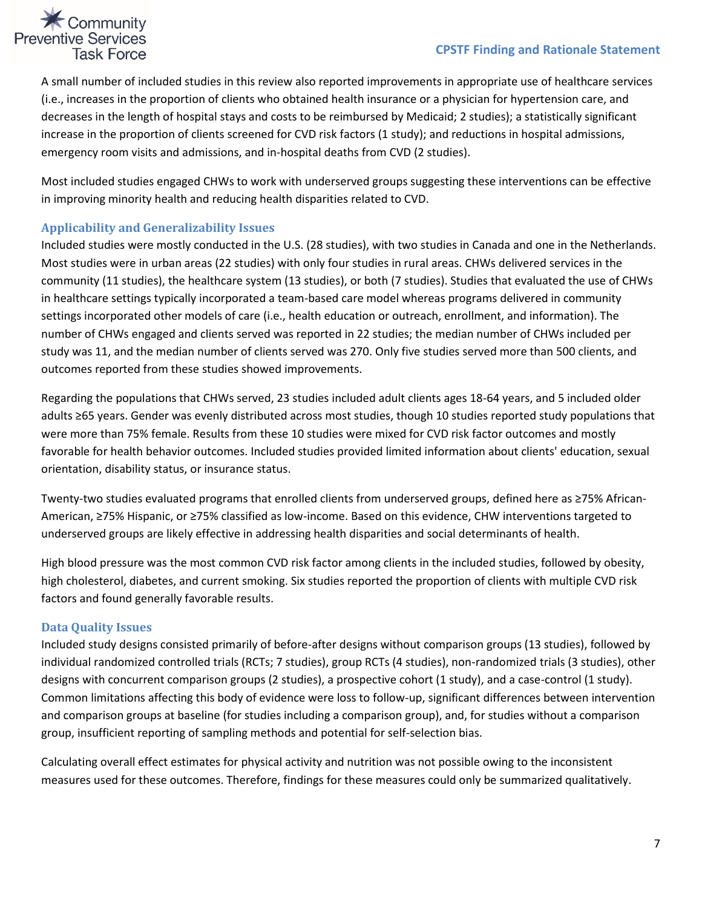#### **CPSTF Finding and Rationale Statement**



A small number of included studies in this review also reported improvements in appropriate use of healthcare services (i.e., increases in the proportion of clients who obtained health insurance or a physician for hypertension care, and decreases in the length of hospital stays and costs to be reimbursed by Medicaid; 2 studies); a statistically significant increase in the proportion of clients screened for CVD risk factors (1 study); and reductions in hospital admissions, emergency room visits and admissions, and in-hospital deaths from CVD (2 studies).

Most included studies engaged CHWs to work with underserved groups suggesting these interventions can be effective in improving minority health and reducing health disparities related to CVD.

#### <span id="page-6-0"></span>**Applicability and Generalizability Issues**

Included studies were mostly conducted in the U.S. (28 studies), with two studies in Canada and one in the Netherlands. Most studies were in urban areas (22 studies) with only four studies in rural areas. CHWs delivered services in the community (11 studies), the healthcare system (13 studies), or both (7 studies). Studies that evaluated the use of CHWs in healthcare settings typically incorporated a team-based care model whereas programs delivered in community settings incorporated other models of care (i.e., health education or outreach, enrollment, and information). The number of CHWs engaged and clients served was reported in 22 studies; the median number of CHWs included per study was 11, and the median number of clients served was 270. Only five studies served more than 500 clients, and outcomes reported from these studies showed improvements.

Regarding the populations that CHWs served, 23 studies included adult clients ages 18-64 years, and 5 included older adults ≥65 years. Gender was evenly distributed across most studies, though 10 studies reported study populations that were more than 75% female. Results from these 10 studies were mixed for CVD risk factor outcomes and mostly favorable for health behavior outcomes. Included studies provided limited information about clients' education, sexual orientation, disability status, or insurance status.

Twenty-two studies evaluated programs that enrolled clients from underserved groups, defined here as ≥75% African-American, ≥75% Hispanic, or ≥75% classified as low-income. Based on this evidence, CHW interventions targeted to underserved groups are likely effective in addressing health disparities and social determinants of health.

High blood pressure was the most common CVD risk factor among clients in the included studies, followed by obesity, high cholesterol, diabetes, and current smoking. Six studies reported the proportion of clients with multiple CVD risk factors and found generally favorable results.

#### <span id="page-6-1"></span>**Data Quality Issues**

Included study designs consisted primarily of before-after designs without comparison groups (13 studies), followed by individual randomized controlled trials (RCTs; 7 studies), group RCTs (4 studies), non-randomized trials (3 studies), other designs with concurrent comparison groups (2 studies), a prospective cohort (1 study), and a case-control (1 study). Common limitations affecting this body of evidence were loss to follow-up, significant differences between intervention and comparison groups at baseline (for studies including a comparison group), and, for studies without a comparison group, insufficient reporting of sampling methods and potential for self-selection bias.

Calculating overall effect estimates for physical activity and nutrition was not possible owing to the inconsistent measures used for these outcomes. Therefore, findings for these measures could only be summarized qualitatively.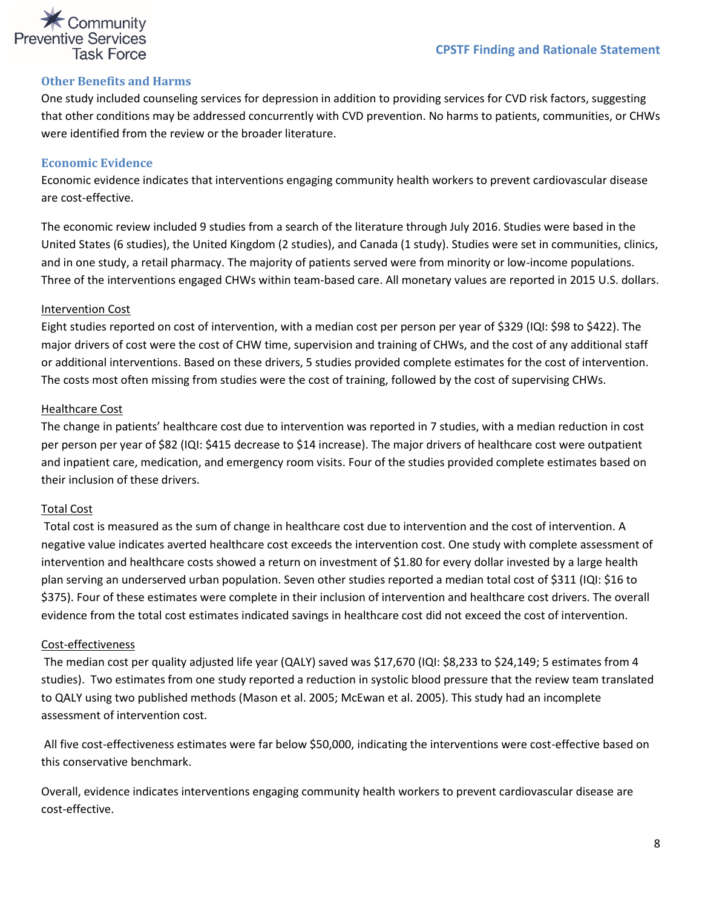

#### <span id="page-7-0"></span>**Other Benefits and Harms**

One study included counseling services for depression in addition to providing services for CVD risk factors, suggesting that other conditions may be addressed concurrently with CVD prevention. No harms to patients, communities, or CHWs were identified from the review or the broader literature.

#### <span id="page-7-1"></span>**Economic Evidence**

Economic evidence indicates that interventions engaging community health workers to prevent cardiovascular disease are cost-effective.

The economic review included 9 studies from a search of the literature through July 2016. Studies were based in the United States (6 studies), the United Kingdom (2 studies), and Canada (1 study). Studies were set in communities, clinics, and in one study, a retail pharmacy. The majority of patients served were from minority or low-income populations. Three of the interventions engaged CHWs within team-based care. All monetary values are reported in 2015 U.S. dollars.

#### Intervention Cost

Eight studies reported on cost of intervention, with a median cost per person per year of \$329 (IQI: \$98 to \$422). The major drivers of cost were the cost of CHW time, supervision and training of CHWs, and the cost of any additional staff or additional interventions. Based on these drivers, 5 studies provided complete estimates for the cost of intervention. The costs most often missing from studies were the cost of training, followed by the cost of supervising CHWs.

#### Healthcare Cost

The change in patients' healthcare cost due to intervention was reported in 7 studies, with a median reduction in cost per person per year of \$82 (IQI: \$415 decrease to \$14 increase). The major drivers of healthcare cost were outpatient and inpatient care, medication, and emergency room visits. Four of the studies provided complete estimates based on their inclusion of these drivers.

#### Total Cost

Total cost is measured as the sum of change in healthcare cost due to intervention and the cost of intervention. A negative value indicates averted healthcare cost exceeds the intervention cost. One study with complete assessment of intervention and healthcare costs showed a return on investment of \$1.80 for every dollar invested by a large health plan serving an underserved urban population. Seven other studies reported a median total cost of \$311 (IQI: \$16 to \$375). Four of these estimates were complete in their inclusion of intervention and healthcare cost drivers. The overall evidence from the total cost estimates indicated savings in healthcare cost did not exceed the cost of intervention.

#### Cost-effectiveness

The median cost per quality adjusted life year (QALY) saved was \$17,670 (IQI: \$8,233 to \$24,149; 5 estimates from 4 studies). Two estimates from one study reported a reduction in systolic blood pressure that the review team translated to QALY using two published methods (Mason et al. 2005; McEwan et al. 2005). This study had an incomplete assessment of intervention cost.

All five cost-effectiveness estimates were far below \$50,000, indicating the interventions were cost-effective based on this conservative benchmark.

Overall, evidence indicates interventions engaging community health workers to prevent cardiovascular disease are cost-effective.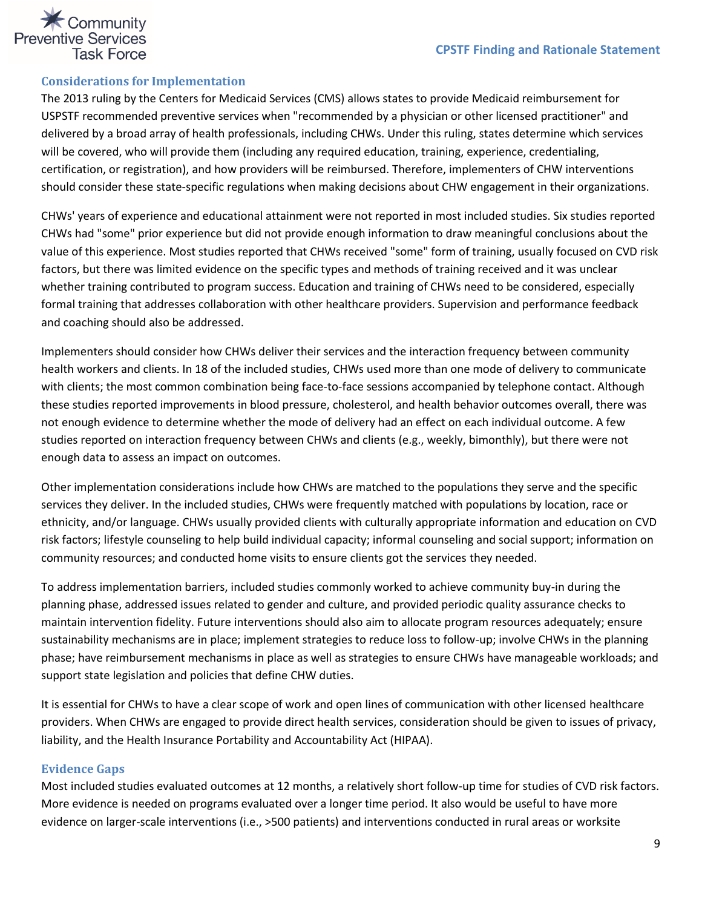

#### <span id="page-8-0"></span>**Considerations for Implementation**

The 2013 ruling by the Centers for Medicaid Services (CMS) allows states to provide Medicaid reimbursement for USPSTF recommended preventive services when "recommended by a physician or other licensed practitioner" and delivered by a broad array of health professionals, including CHWs. Under this ruling, states determine which services will be covered, who will provide them (including any required education, training, experience, credentialing, certification, or registration), and how providers will be reimbursed. Therefore, implementers of CHW interventions should consider these state-specific regulations when making decisions about CHW engagement in their organizations.

CHWs' years of experience and educational attainment were not reported in most included studies. Six studies reported CHWs had "some" prior experience but did not provide enough information to draw meaningful conclusions about the value of this experience. Most studies reported that CHWs received "some" form of training, usually focused on CVD risk factors, but there was limited evidence on the specific types and methods of training received and it was unclear whether training contributed to program success. Education and training of CHWs need to be considered, especially formal training that addresses collaboration with other healthcare providers. Supervision and performance feedback and coaching should also be addressed.

Implementers should consider how CHWs deliver their services and the interaction frequency between community health workers and clients. In 18 of the included studies, CHWs used more than one mode of delivery to communicate with clients; the most common combination being face-to-face sessions accompanied by telephone contact. Although these studies reported improvements in blood pressure, cholesterol, and health behavior outcomes overall, there was not enough evidence to determine whether the mode of delivery had an effect on each individual outcome. A few studies reported on interaction frequency between CHWs and clients (e.g., weekly, bimonthly), but there were not enough data to assess an impact on outcomes.

Other implementation considerations include how CHWs are matched to the populations they serve and the specific services they deliver. In the included studies, CHWs were frequently matched with populations by location, race or ethnicity, and/or language. CHWs usually provided clients with culturally appropriate information and education on CVD risk factors; lifestyle counseling to help build individual capacity; informal counseling and social support; information on community resources; and conducted home visits to ensure clients got the services they needed.

To address implementation barriers, included studies commonly worked to achieve community buy-in during the planning phase, addressed issues related to gender and culture, and provided periodic quality assurance checks to maintain intervention fidelity. Future interventions should also aim to allocate program resources adequately; ensure sustainability mechanisms are in place; implement strategies to reduce loss to follow-up; involve CHWs in the planning phase; have reimbursement mechanisms in place as well as strategies to ensure CHWs have manageable workloads; and support state legislation and policies that define CHW duties.

It is essential for CHWs to have a clear scope of work and open lines of communication with other licensed healthcare providers. When CHWs are engaged to provide direct health services, consideration should be given to issues of privacy, liability, and the Health Insurance Portability and Accountability Act (HIPAA).

#### <span id="page-8-1"></span>**Evidence Gaps**

Most included studies evaluated outcomes at 12 months, a relatively short follow-up time for studies of CVD risk factors. More evidence is needed on programs evaluated over a longer time period. It also would be useful to have more evidence on larger-scale interventions (i.e., >500 patients) and interventions conducted in rural areas or worksite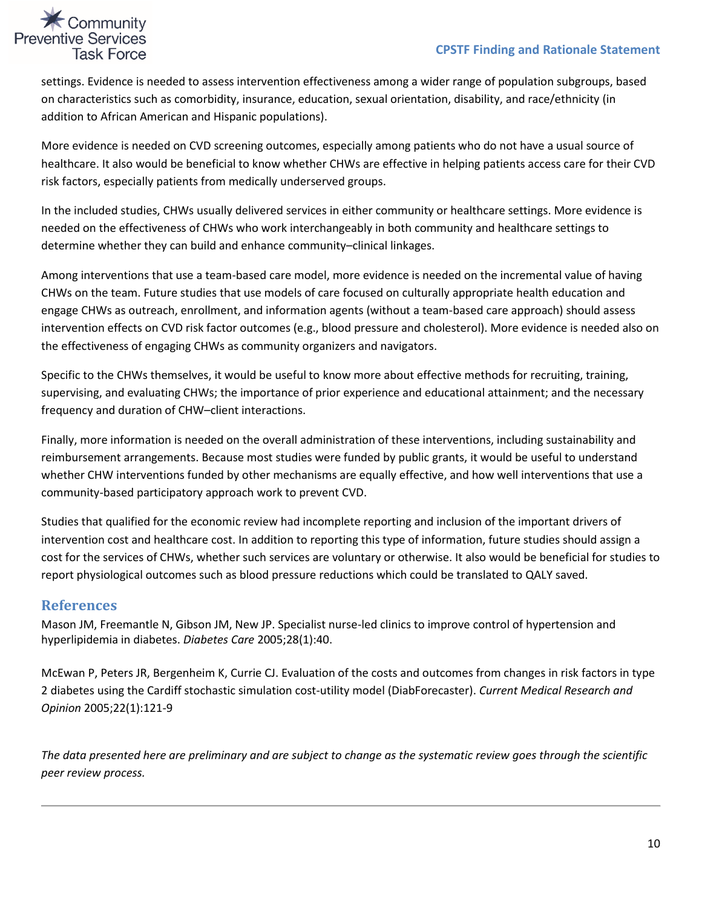

settings. Evidence is needed to assess intervention effectiveness among a wider range of population subgroups, based on characteristics such as comorbidity, insurance, education, sexual orientation, disability, and race/ethnicity (in addition to African American and Hispanic populations).

More evidence is needed on CVD screening outcomes, especially among patients who do not have a usual source of healthcare. It also would be beneficial to know whether CHWs are effective in helping patients access care for their CVD risk factors, especially patients from medically underserved groups.

In the included studies, CHWs usually delivered services in either community or healthcare settings. More evidence is needed on the effectiveness of CHWs who work interchangeably in both community and healthcare settings to determine whether they can build and enhance community–clinical linkages.

Among interventions that use a team-based care model, more evidence is needed on the incremental value of having CHWs on the team. Future studies that use models of care focused on culturally appropriate health education and engage CHWs as outreach, enrollment, and information agents (without a team-based care approach) should assess intervention effects on CVD risk factor outcomes (e.g., blood pressure and cholesterol). More evidence is needed also on the effectiveness of engaging CHWs as community organizers and navigators.

Specific to the CHWs themselves, it would be useful to know more about effective methods for recruiting, training, supervising, and evaluating CHWs; the importance of prior experience and educational attainment; and the necessary frequency and duration of CHW–client interactions.

Finally, more information is needed on the overall administration of these interventions, including sustainability and reimbursement arrangements. Because most studies were funded by public grants, it would be useful to understand whether CHW interventions funded by other mechanisms are equally effective, and how well interventions that use a community-based participatory approach work to prevent CVD.

Studies that qualified for the economic review had incomplete reporting and inclusion of the important drivers of intervention cost and healthcare cost. In addition to reporting this type of information, future studies should assign a cost for the services of CHWs, whether such services are voluntary or otherwise. It also would be beneficial for studies to report physiological outcomes such as blood pressure reductions which could be translated to QALY saved.

#### **References**

Mason JM, Freemantle N, Gibson JM, New JP. Specialist nurse-led clinics to improve control of hypertension and hyperlipidemia in diabetes. *Diabetes Care* 2005;28(1):40.

McEwan P, Peters JR, Bergenheim K, Currie CJ. Evaluation of the costs and outcomes from changes in risk factors in type 2 diabetes using the Cardiff stochastic simulation cost-utility model (DiabForecaster). *Current Medical Research and Opinion* 2005;22(1):121-9

*The data presented here are preliminary and are subject to change as the systematic review goes through the scientific peer review process.*